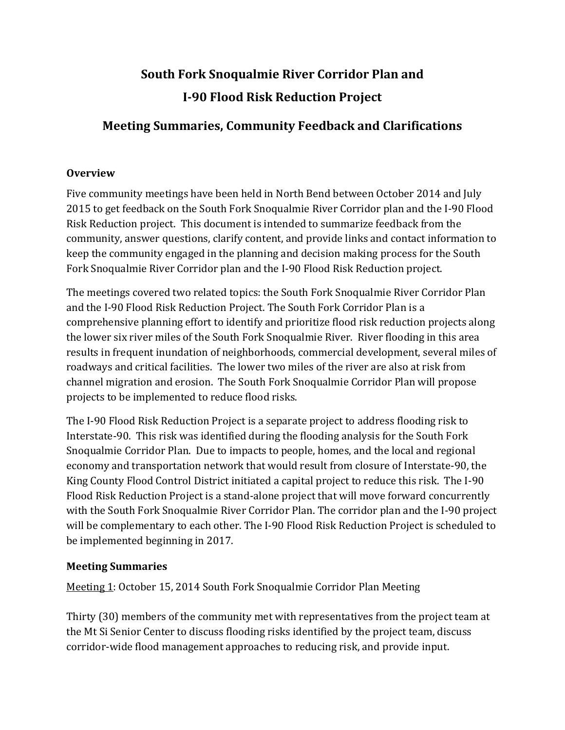# **South Fork Snoqualmie River Corridor Plan and I-90 Flood Risk Reduction Project**

## **Meeting Summaries, Community Feedback and Clarifications**

### **Overview**

Five community meetings have been held in North Bend between October 2014 and July 2015 to get feedback on the South Fork Snoqualmie River Corridor plan and the I-90 Flood Risk Reduction project. This document is intended to summarize feedback from the community, answer questions, clarify content, and provide links and contact information to keep the community engaged in the planning and decision making process for the South Fork Snoqualmie River Corridor plan and the I-90 Flood Risk Reduction project.

The meetings covered two related topics: the South Fork Snoqualmie River Corridor Plan and the I-90 Flood Risk Reduction Project. The South Fork Corridor Plan is a comprehensive planning effort to identify and prioritize flood risk reduction projects along the lower six river miles of the South Fork Snoqualmie River. River flooding in this area results in frequent inundation of neighborhoods, commercial development, several miles of roadways and critical facilities. The lower two miles of the river are also at risk from channel migration and erosion. The South Fork Snoqualmie Corridor Plan will propose projects to be implemented to reduce flood risks.

The I-90 Flood Risk Reduction Project is a separate project to address flooding risk to Interstate-90. This risk was identified during the flooding analysis for the South Fork Snoqualmie Corridor Plan. Due to impacts to people, homes, and the local and regional economy and transportation network that would result from closure of Interstate-90, the King County Flood Control District initiated a capital project to reduce this risk. The I-90 Flood Risk Reduction Project is a stand-alone project that will move forward concurrently with the South Fork Snoqualmie River Corridor Plan. The corridor plan and the I-90 project will be complementary to each other. The I-90 Flood Risk Reduction Project is scheduled to be implemented beginning in 2017.

### **Meeting Summaries**

Meeting 1: October 15, 2014 South Fork Snoqualmie Corridor Plan Meeting

Thirty (30) members of the community met with representatives from the project team at the Mt Si Senior Center to discuss flooding risks identified by the project team, discuss corridor-wide flood management approaches to reducing risk, and provide input.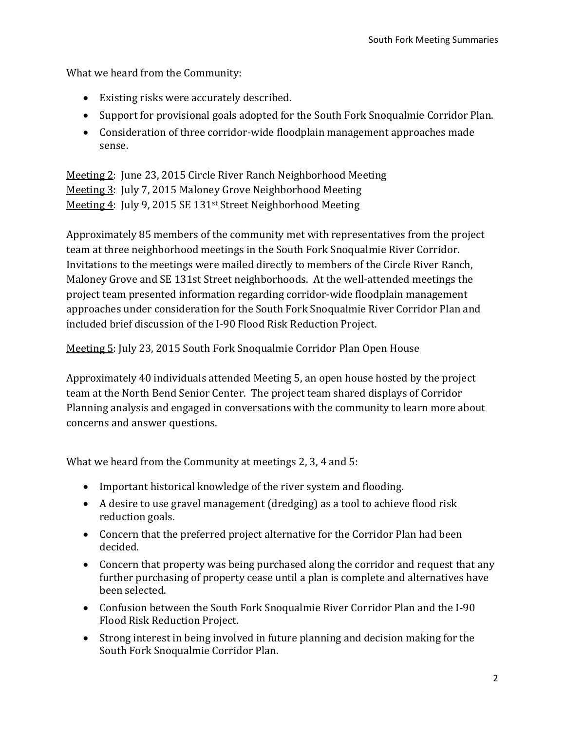What we heard from the Community:

- Existing risks were accurately described.
- Support for provisional goals adopted for the South Fork Snoqualmie Corridor Plan.
- Consideration of three corridor-wide floodplain management approaches made sense.

Meeting 2: June 23, 2015 Circle River Ranch Neighborhood Meeting Meeting 3: July 7, 2015 Maloney Grove Neighborhood Meeting Meeting 4: July 9, 2015 SE 131st Street Neighborhood Meeting

Approximately 85 members of the community met with representatives from the project team at three neighborhood meetings in the South Fork Snoqualmie River Corridor. Invitations to the meetings were mailed directly to members of the Circle River Ranch, Maloney Grove and SE 131st Street neighborhoods. At the well-attended meetings the project team presented information regarding corridor-wide floodplain management approaches under consideration for the South Fork Snoqualmie River Corridor Plan and included brief discussion of the [I-90 Flood Risk Reduction Project.](http://www.kingcounty.gov/depts/dnrp/wlr/sections-programs/river-floodplain-section/capital-projects/si-view-levee-setback-I-90.aspx)

Meeting 5: July 23, 2015 South Fork Snoqualmie Corridor Plan Open House

Approximately 40 individuals attended Meeting 5, an open house hosted by the project team at the North Bend Senior Center. The project team shared displays of Corridor Planning analysis and engaged in conversations with the community to learn more about concerns and answer questions.

What we heard from the Community at meetings 2, 3, 4 and 5:

- Important historical knowledge of the river system and flooding.
- A desire to use gravel management (dredging) as a tool to achieve flood risk reduction goals.
- Concern that the preferred project alternative for the Corridor Plan had been decided.
- Concern that property was being purchased along the corridor and request that any further purchasing of property cease until a plan is complete and alternatives have been selected.
- Confusion between the South Fork Snoqualmie River Corridor Plan and the I-90 Flood Risk Reduction Project.
- Strong interest in being involved in future planning and decision making for the South Fork Snoqualmie Corridor Plan.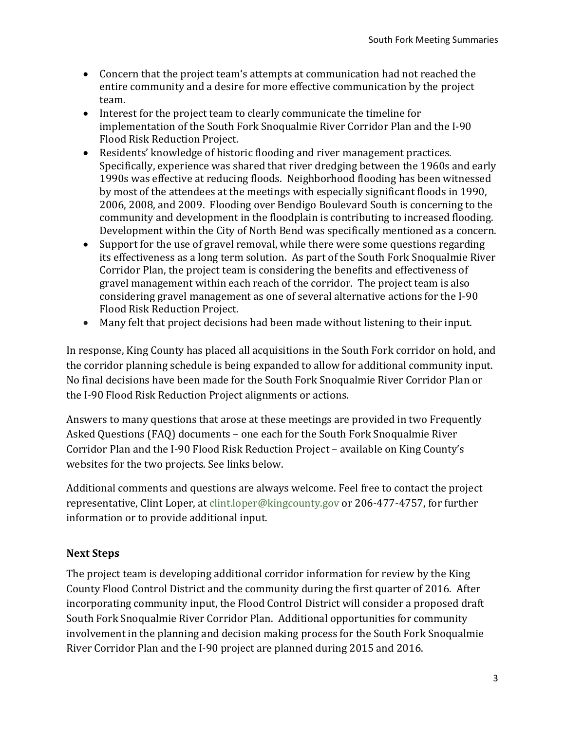- Concern that the project team's attempts at communication had not reached the entire community and a desire for more effective communication by the project team.
- Interest for the project team to clearly communicate the timeline for implementation of the South Fork Snoqualmie River Corridor Plan and the I-90 Flood Risk Reduction Project.
- Residents' knowledge of historic flooding and river management practices. Specifically, experience was shared that river dredging between the 1960s and early 1990s was effective at reducing floods. Neighborhood flooding has been witnessed by most of the attendees at the meetings with especially significant floods in 1990, 2006, 2008, and 2009. Flooding over Bendigo Boulevard South is concerning to the community and development in the floodplain is contributing to increased flooding. Development within the City of North Bend was specifically mentioned as a concern.
- Support for the use of gravel removal, while there were some questions regarding its effectiveness as a long term solution. As part of the South Fork Snoqualmie River Corridor Plan, the project team is considering the benefits and effectiveness of gravel management within each reach of the corridor. The project team is also considering gravel management as one of several alternative actions for the I-90 Flood Risk Reduction Project.
- Many felt that project decisions had been made without listening to their input.

In response, King County has placed all acquisitions in the South Fork corridor on hold, and the corridor planning schedule is being expanded to allow for additional community input. No final decisions have been made for the South Fork Snoqualmie River Corridor Plan or the I-90 Flood Risk Reduction Project alignments or actions.

Answers to many questions that arose at these meetings are provided in two Frequently Asked Questions (FAQ) documents – one each for the South Fork Snoqualmie River Corridor Plan and the I-90 Flood Risk Reduction Project – available on King County's websites for the two projects. See links below.

Additional comments and questions are always welcome. Feel free to contact the project representative, Clint Loper, at [clint.loper@kingcounty.gov](mailto:clint.loper@kingcounty.gov) or 206-477-4757, for further information or to provide additional input.

### **Next Steps**

The project team is developing additional corridor information for review by the King County Flood Control District and the community during the first quarter of 2016. After incorporating community input, the Flood Control District will consider a proposed draft South Fork Snoqualmie River Corridor Plan. Additional opportunities for community involvement in the planning and decision making process for the South Fork Snoqualmie River Corridor Plan and the I-90 project are planned during 2015 and 2016.